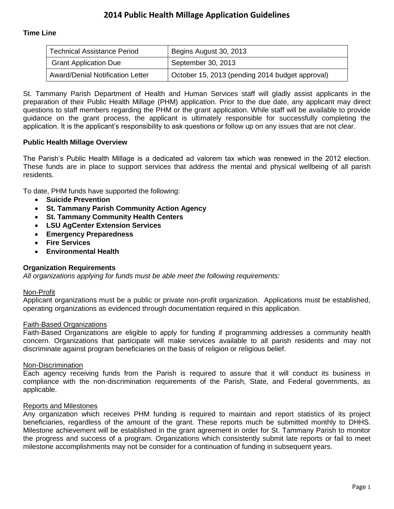# **Time Line**

| <b>Technical Assistance Period</b> | Begins August 30, 2013                          |
|------------------------------------|-------------------------------------------------|
| <b>Grant Application Due</b>       | September 30, 2013                              |
| Award/Denial Notification Letter   | October 15, 2013 (pending 2014 budget approval) |

St. Tammany Parish Department of Health and Human Services staff will gladly assist applicants in the preparation of their Public Health Millage (PHM) application. Prior to the due date, any applicant may direct questions to staff members regarding the PHM or the grant application. While staff will be available to provide guidance on the grant process, the applicant is ultimately responsible for successfully completing the application. It is the applicant's responsibility to ask questions or follow up on any issues that are not clear.

## **Public Health Millage Overview**

The Parish's Public Health Millage is a dedicated ad valorem tax which was renewed in the 2012 election. These funds are in place to support services that address the mental and physical wellbeing of all parish residents.

To date, PHM funds have supported the following:

- **Suicide Prevention**
- **St. Tammany Parish Community Action Agency**
- **St. Tammany Community Health Centers**
- **LSU AgCenter Extension Services**
- **Emergency Preparedness**
- **Fire Services**
- **Environmental Health**

## **Organization Requirements**

*All organizations applying for funds must be able meet the following requirements:*

#### Non-Profit

Applicant organizations must be a public or private non-profit organization. Applications must be established, operating organizations as evidenced through documentation required in this application.

#### Faith-Based Organizations

Faith-Based Organizations are eligible to apply for funding if programming addresses a community health concern. Organizations that participate will make services available to all parish residents and may not discriminate against program beneficiaries on the basis of religion or religious belief.

#### Non-Discrimination

Each agency receiving funds from the Parish is required to assure that it will conduct its business in compliance with the non-discrimination requirements of the Parish, State, and Federal governments, as applicable.

#### Reports and Milestones

Any organization which receives PHM funding is required to maintain and report statistics of its project beneficiaries, regardless of the amount of the grant. These reports much be submitted monthly to DHHS. Milestone achievement will be established in the grant agreement in order for St. Tammany Parish to monitor the progress and success of a program. Organizations which consistently submit late reports or fail to meet milestone accomplishments may not be consider for a continuation of funding in subsequent years.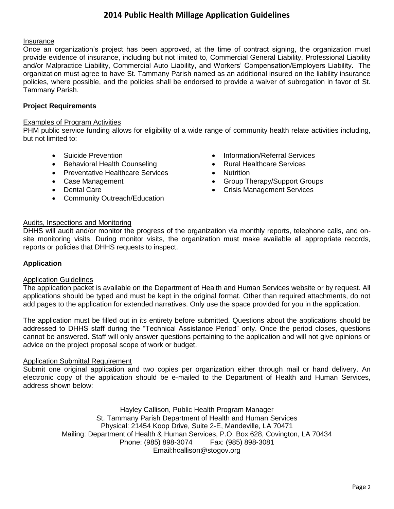# **2014 Public Health Millage Application Guidelines**

## Insurance

Once an organization's project has been approved, at the time of contract signing, the organization must provide evidence of insurance, including but not limited to, Commercial General Liability, Professional Liability and/or Malpractice Liability, Commercial Auto Liability, and Workers' Compensation/Employers Liability. The organization must agree to have St. Tammany Parish named as an additional insured on the liability insurance policies, where possible, and the policies shall be endorsed to provide a waiver of subrogation in favor of St. Tammany Parish.

## **Project Requirements**

#### Examples of Program Activities

PHM public service funding allows for eligibility of a wide range of community health relate activities including, but not limited to:

- 
- Behavioral Health Counseling Rural Healthcare Services
- Preventative Healthcare Services Nutrition
- 
- 
- Community Outreach/Education
- Suicide Prevention **Information Information/Referral Services** 
	-
	-
- Case Management **Group State State Case Management Groups Group Therapy/Support Groups**
- Dental Care **Care and Care Crisis Management Services Crisis Management Services**

#### Audits, Inspections and Monitoring

DHHS will audit and/or monitor the progress of the organization via monthly reports, telephone calls, and onsite monitoring visits. During monitor visits, the organization must make available all appropriate records, reports or policies that DHHS requests to inspect.

#### **Application**

#### Application Guidelines

The application packet is available on the Department of Health and Human Services website or by request. All applications should be typed and must be kept in the original format. Other than required attachments, do not add pages to the application for extended narratives. Only use the space provided for you in the application.

The application must be filled out in its entirety before submitted. Questions about the applications should be addressed to DHHS staff during the "Technical Assistance Period" only. Once the period closes, questions cannot be answered. Staff will only answer questions pertaining to the application and will not give opinions or advice on the project proposal scope of work or budget.

#### Application Submittal Requirement

Submit one original application and two copies per organization either through mail or hand delivery. An electronic copy of the application should be e-mailed to the Department of Health and Human Services, address shown below:

> Hayley Callison, Public Health Program Manager St. Tammany Parish Department of Health and Human Services Physical: 21454 Koop Drive, Suite 2-E, Mandeville, LA 70471 Mailing: Department of Health & Human Services, P.O. Box 628, Covington, LA 70434 Phone: (985) 898-3074 Fax: (985) 898-3081 Email:hcallison@stogov.org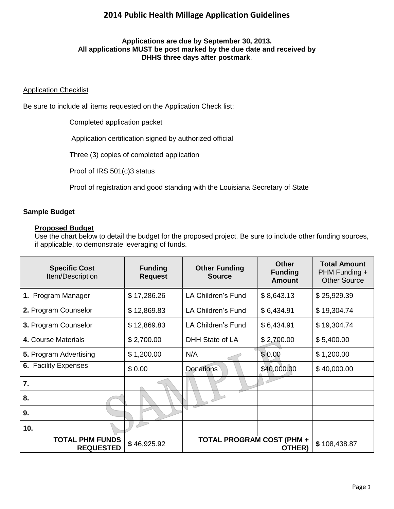# **2014 Public Health Millage Application Guidelines**

## **Applications are due by September 30, 2013. All applications MUST be post marked by the due date and received by DHHS three days after postmark**.

## **Application Checklist**

Be sure to include all items requested on the Application Check list:

Completed application packet

Application certification signed by authorized official

Three (3) copies of completed application

Proof of IRS 501(c)3 status

Proof of registration and good standing with the Louisiana Secretary of State

## **Sample Budget**

#### **Proposed Budget**

Use the chart below to detail the budget for the proposed project. Be sure to include other funding sources, if applicable, to demonstrate leveraging of funds.

| <b>Specific Cost</b><br>Item/Description                                                                | <b>Funding</b><br><b>Request</b> | <b>Other Funding</b><br><b>Source</b> | <b>Other</b><br><b>Funding</b><br><b>Amount</b> | <b>Total Amount</b><br>PHM Funding +<br><b>Other Source</b> |
|---------------------------------------------------------------------------------------------------------|----------------------------------|---------------------------------------|-------------------------------------------------|-------------------------------------------------------------|
| 1. Program Manager                                                                                      | \$17,286.26                      | LA Children's Fund                    | \$8,643.13                                      | \$25,929.39                                                 |
| 2. Program Counselor                                                                                    | \$12,869.83                      | LA Children's Fund                    | \$6,434.91                                      | \$19,304.74                                                 |
| 3. Program Counselor                                                                                    | \$12,869.83                      | LA Children's Fund                    | \$6,434.91                                      | \$19,304.74                                                 |
| 4. Course Materials                                                                                     | \$2,700.00                       | DHH State of LA                       | \$2,700.00                                      | \$5,400.00                                                  |
| 5. Program Advertising                                                                                  | \$1,200.00                       | N/A                                   | \$0.00                                          | \$1,200.00                                                  |
| <b>6. Facility Expenses</b>                                                                             | \$0.00                           | <b>Donations</b>                      | \$40,000.00                                     | \$40,000.00                                                 |
| 7.                                                                                                      |                                  |                                       |                                                 |                                                             |
| 8.                                                                                                      |                                  |                                       |                                                 |                                                             |
| 9.                                                                                                      |                                  | ◟                                     |                                                 |                                                             |
| 10.                                                                                                     |                                  |                                       |                                                 |                                                             |
| <b>TOTAL PHM FUNDS</b><br><b>TOTAL PROGRAM COST (PHM +</b><br>\$46,925.92<br><b>REQUESTED</b><br>OTHER) |                                  | \$108,438.87                          |                                                 |                                                             |